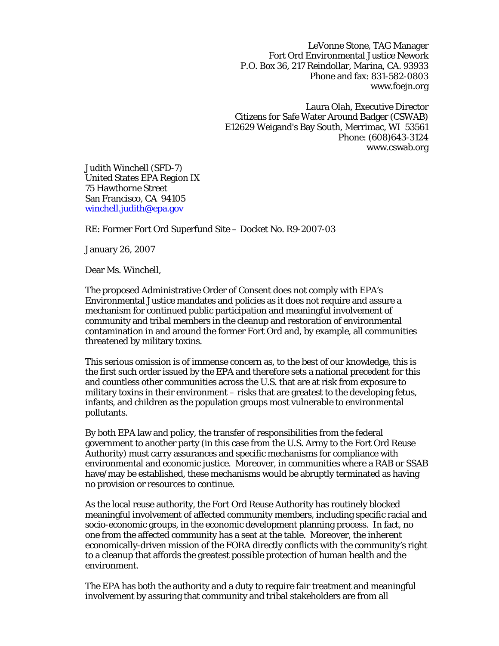LeVonne Stone, TAG Manager Fort Ord Environmental Justice Nework P.O. Box 36, 217 Reindollar, Marina, CA. 93933 Phone and fax: 831-582-0803 www.foejn.org

Laura Olah, Executive Director Citizens for Safe Water Around Badger (CSWAB) E12629 Weigand's Bay South, Merrimac, WI 53561 Phone: (608)643-3124 www.cswab.org

Judith Winchell (SFD-7) United States EPA Region IX 75 Hawthorne Street San Francisco, CA 94105 [winchell.judith@epa.gov](mailto:Winchell.judith@epa.gov)

RE: Former Fort Ord Superfund Site – Docket No. R9-2007-03

January 26, 2007

Dear Ms. Winchell,

The proposed Administrative Order of Consent does not comply with EPA's Environmental Justice mandates and policies as it does not require and assure a mechanism for continued public participation and meaningful involvement of community and tribal members in the cleanup and restoration of environmental contamination in and around the former Fort Ord and, by example, all communities threatened by military toxins.

This serious omission is of immense concern as, to the best of our knowledge, this is the first such order issued by the EPA and therefore sets a national precedent for this and countless other communities across the U.S. that are at risk from exposure to military toxins in their environment – risks that are greatest to the developing fetus, infants, and children as the population groups most vulnerable to environmental pollutants.

By both EPA law and policy, the transfer of responsibilities from the federal government to another party (in this case from the U.S. Army to the Fort Ord Reuse Authority) must carry assurances and specific mechanisms for compliance with environmental and economic justice. Moreover, in communities where a RAB or SSAB have/may be established, these mechanisms would be abruptly terminated as having no provision or resources to continue.

As the local reuse authority, the Fort Ord Reuse Authority has routinely blocked meaningful involvement of affected community members, including specific racial and socio-economic groups, in the economic development planning process. In fact, no one from the affected community has a seat at the table. Moreover, the inherent economically-driven mission of the FORA directly conflicts with the community's right to a cleanup that affords the greatest possible protection of human health and the environment.

The EPA has both the authority and a duty to require fair treatment and meaningful involvement by assuring that community and tribal stakeholders are from all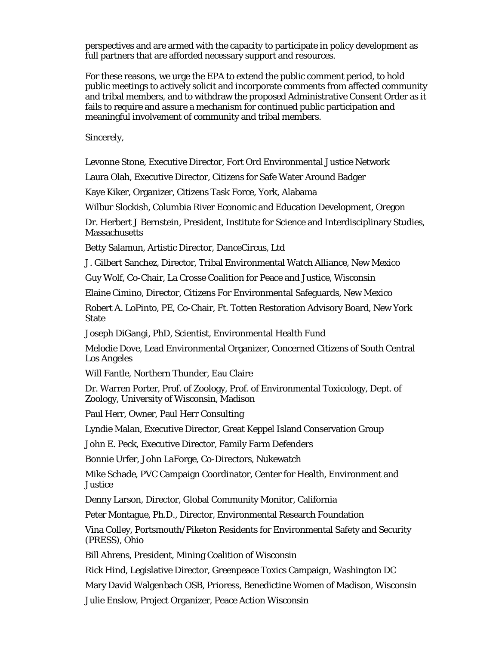perspectives and are armed with the capacity to participate in policy development as full partners that are afforded necessary support and resources.

For these reasons, we urge the EPA to extend the public comment period, to hold public meetings to actively solicit and incorporate comments from affected community and tribal members, and to withdraw the proposed Administrative Consent Order as it fails to require and assure a mechanism for continued public participation and meaningful involvement of community and tribal members.

Sincerely,

Levonne Stone, Executive Director, Fort Ord Environmental Justice Network

Laura Olah, Executive Director, Citizens for Safe Water Around Badger

Kaye Kiker, Organizer, Citizens Task Force, York, Alabama

Wilbur Slockish, Columbia River Economic and Education Development, Oregon

Dr. Herbert J Bernstein, President, Institute for Science and Interdisciplinary Studies, **Massachusetts** 

Betty Salamun, Artistic Director, DanceCircus, Ltd

J. Gilbert Sanchez, Director, Tribal Environmental Watch Alliance, New Mexico

Guy Wolf, Co-Chair, La Crosse Coalition for Peace and Justice, Wisconsin

Elaine Cimino, Director, Citizens For Environmental Safeguards, New Mexico

Robert A. LoPinto, PE, Co-Chair, Ft. Totten Restoration Advisory Board, New York State

Joseph DiGangi, PhD, Scientist, Environmental Health Fund

Melodie Dove, Lead Environmental Organizer, Concerned Citizens of South Central Los Angeles

Will Fantle, Northern Thunder, Eau Claire

Dr. Warren Porter, Prof. of Zoology, Prof. of Environmental Toxicology, Dept. of Zoology, University of Wisconsin, Madison

Paul Herr, Owner, Paul Herr Consulting

Lyndie Malan, Executive Director, Great Keppel Island Conservation Group

John E. Peck, Executive Director, Family Farm Defenders

Bonnie Urfer, John LaForge, Co-Directors, Nukewatch

Mike Schade, PVC Campaign Coordinator, Center for Health, Environment and **Justice** 

Denny Larson, Director, Global Community Monitor, California

Peter Montague, Ph.D., Director, Environmental Research Foundation

Vina Colley, Portsmouth/Piketon Residents for Environmental Safety and Security (PRESS), Ohio

Bill Ahrens, President, Mining Coalition of Wisconsin

Rick Hind, Legislative Director, Greenpeace Toxics Campaign, Washington DC

Mary David Walgenbach OSB, Prioress, Benedictine Women of Madison, Wisconsin

Julie Enslow, Project Organizer, Peace Action Wisconsin